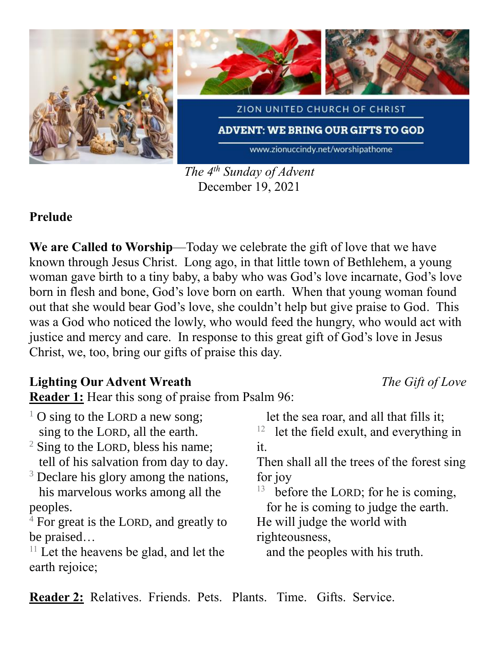

*The 4 th Sunday of Advent* December 19, 2021

### **Prelude**

**We are Called to Worship**—Today we celebrate the gift of love that we have known through Jesus Christ. Long ago, in that little town of Bethlehem, a young woman gave birth to a tiny baby, a baby who was God's love incarnate, God's love born in flesh and bone, God's love born on earth. When that young woman found out that she would bear God's love, she couldn't help but give praise to God. This was a God who noticed the lowly, who would feed the hungry, who would act with justice and mercy and care. In response to this great gift of God's love in Jesus Christ, we, too, bring our gifts of praise this day.

### **Lighting Our Advent Wreath** *The Gift of Love*

**Reader 1:** Hear this song of praise from Psalm 96:

| <sup>1</sup> O sing to the LORD a new song; | let the sea roar, and all that fills it;         |
|---------------------------------------------|--------------------------------------------------|
| sing to the LORD, all the earth.            | $12$ let the field exult, and everything in      |
| $2$ Sing to the LORD, bless his name;       | it.                                              |
| tell of his salvation from day to day.      | Then shall all the trees of the forest sing      |
| $3$ Declare his glory among the nations,    | for joy                                          |
| his marvelous works among all the           | <sup>13</sup> before the LORD; for he is coming, |
| peoples.                                    | for he is coming to judge the earth.             |
| $4$ For great is the LORD, and greatly to   | He will judge the world with                     |
| be praised                                  | righteousness,                                   |
| $11$ Let the heavens be glad, and let the   | and the peoples with his truth.                  |
| earth rejoice;                              |                                                  |

**Reader 2:** Relatives. Friends. Pets. Plants. Time. Gifts. Service.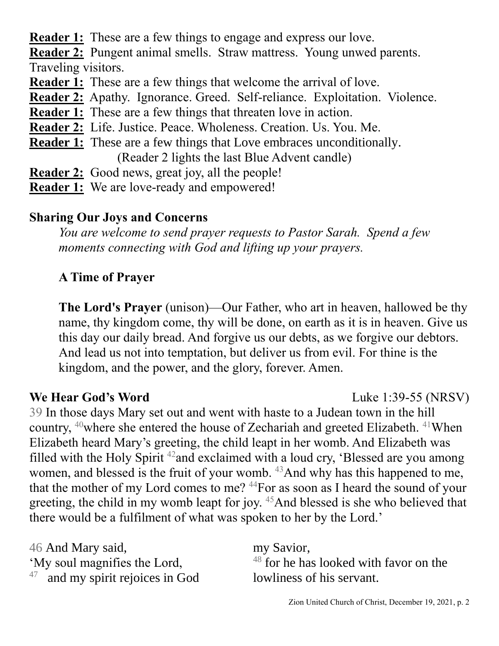**Reader 1:** These are a few things to engage and express our love.

**Reader 2:** Pungent animal smells. Straw mattress. Young unwed parents.

Traveling visitors.

- **Reader 1:** These are a few things that welcome the arrival of love.
- **Reader 2:** Apathy. Ignorance. Greed. Self-reliance. Exploitation. Violence.
- **Reader 1:** These are a few things that threaten love in action.
- **Reader 2:** Life. Justice. Peace. Wholeness. Creation. Us. You. Me.
- **Reader 1:** These are a few things that Love embraces unconditionally. (Reader 2 lights the last Blue Advent candle)
- **Reader 2:** Good news, great joy, all the people!
- **Reader 1:** We are love-ready and empowered!

# **Sharing Our Joys and Concerns**

*You are welcome to send prayer requests to Pastor Sarah. Spend a few moments connecting with God and lifting up your prayers.*

# **A Time of Prayer**

**The Lord's Prayer** (unison)—Our Father, who art in heaven, hallowed be thy name, thy kingdom come, thy will be done, on earth as it is in heaven. Give us this day our daily bread. And forgive us our debts, as we forgive our debtors. And lead us not into temptation, but deliver us from evil. For thine is the kingdom, and the power, and the glory, forever. Amen.

**We Hear God's Word** Luke 1:39-55 (NRSV)

39 In those days Mary set out and went with haste to a Judean town in the hill country, <sup>40</sup>where she entered the house of Zechariah and greeted Elizabeth. <sup>41</sup>When Elizabeth heard Mary's greeting, the child leapt in her womb. And Elizabeth was filled with the Holy Spirit  $42$  and exclaimed with a loud cry, 'Blessed are you among women, and blessed is the fruit of your womb. <sup>43</sup>And why has this happened to me, that the mother of my Lord comes to me?  $44$  For as soon as I heard the sound of your greeting, the child in my womb leapt for joy. <sup>45</sup>And blessed is she who believed that there would be a fulfilment of what was spoken to her by the Lord.'

46 And Mary said, 'My soul magnifies the Lord, 47 and my spirit rejoices in God

my Savior,  $48$  for he has looked with favor on the lowliness of his servant.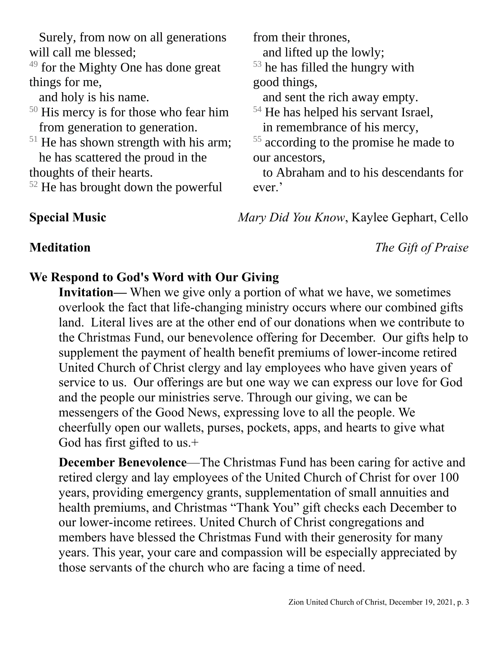Surely, from now on all generations will call me blessed;

 $49$  for the Mighty One has done great things for me,

and holy is his name.

- <sup>50</sup> His mercy is for those who fear him from generation to generation.
- $51$  He has shown strength with his arm; he has scattered the proud in the

thoughts of their hearts.

<sup>52</sup> He has brought down the powerful

from their thrones, and lifted up the lowly;

 $53$  he has filled the hungry with good things,

and sent the rich away empty.

- <sup>54</sup> He has helped his servant Israel, in remembrance of his mercy,
- <sup>55</sup> according to the promise he made to our ancestors,

 to Abraham and to his descendants for ever.'

**Special Music** *Mary Did You Know*, Kaylee Gephart, Cello

**Meditation** *The Gift of Praise*

## **We Respond to God's Word with Our Giving**

**Invitation—** When we give only a portion of what we have, we sometimes overlook the fact that life-changing ministry occurs where our combined gifts land. Literal lives are at the other end of our donations when we contribute to the Christmas Fund, our benevolence offering for December. Our gifts help to supplement the payment of health benefit premiums of lower-income retired United Church of Christ clergy and lay employees who have given years of service to us. Our offerings are but one way we can express our love for God and the people our ministries serve. Through our giving, we can be messengers of the Good News, expressing love to all the people. We cheerfully open our wallets, purses, pockets, apps, and hearts to give what God has first gifted to us.+

**December Benevolence—The Christmas Fund has been caring for active and** retired clergy and lay employees of the United Church of Christ for over 100 years, providing emergency grants, supplementation of small annuities and health premiums, and Christmas "Thank You" gift checks each December to our lower-income retirees. United Church of Christ congregations and members have blessed the Christmas Fund with their generosity for many years. This year, your care and compassion will be especially appreciated by those servants of the church who are facing a time of need.